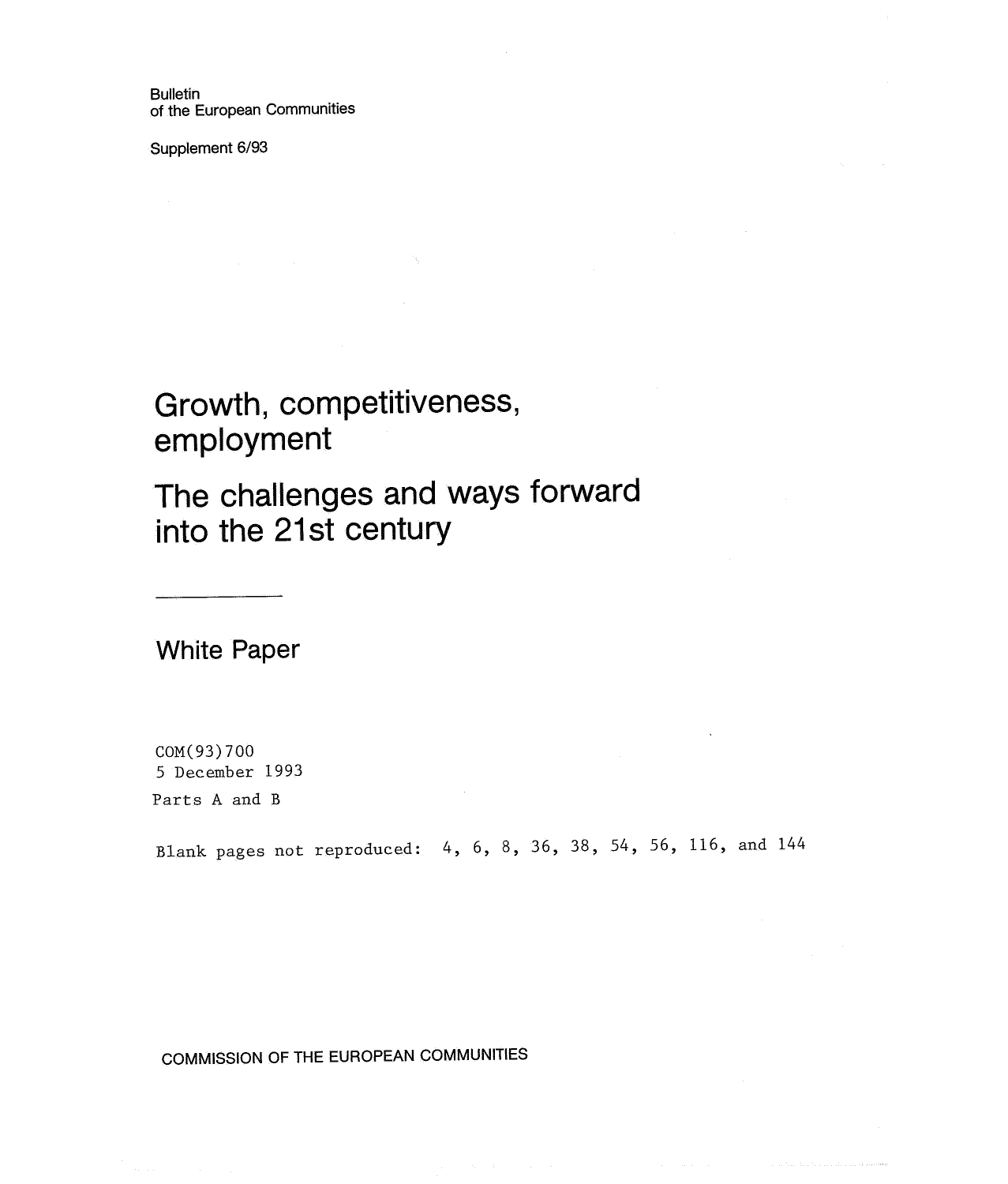Bulletin of the European Communities

Supplement 6/93

Growth, competitiveness, employment

The challenges and ways forward into the 21st century

White Paper

COM(93) 700 5 December 1993 Parts A and B

Blank pages not reproduced: 4, 6, 8, 36, 38, 54, 56, 116, and 144

COMMISSION OF THE EUROPEAN COMMUNITIES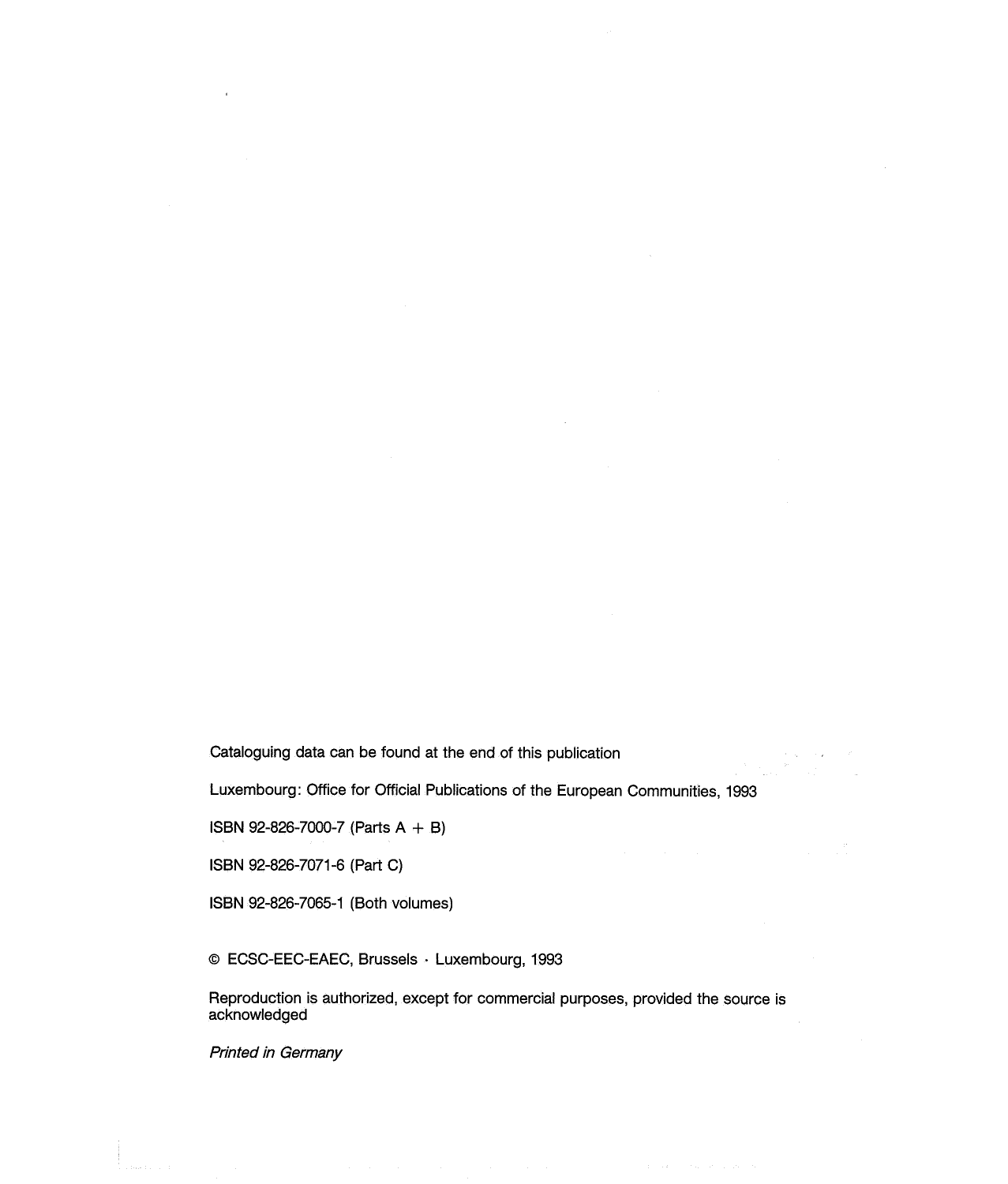Cataloguing data can be found at the end of this publication

Luxembourg: Office for Official Publications of the European Communities, 1993

ISBN 92-826-7000-7 (Parts A + B)

ISBN 92-826-7071-6 (Part C)

ISBN 92-826-7065-1 (Both volumes)

(9 ECSC-EEC-EAEC, Brussels. Luxembourg, 1993

Reproduction is authorized, except for commercial purposes, provided the source is acknowledged

Printed in Germany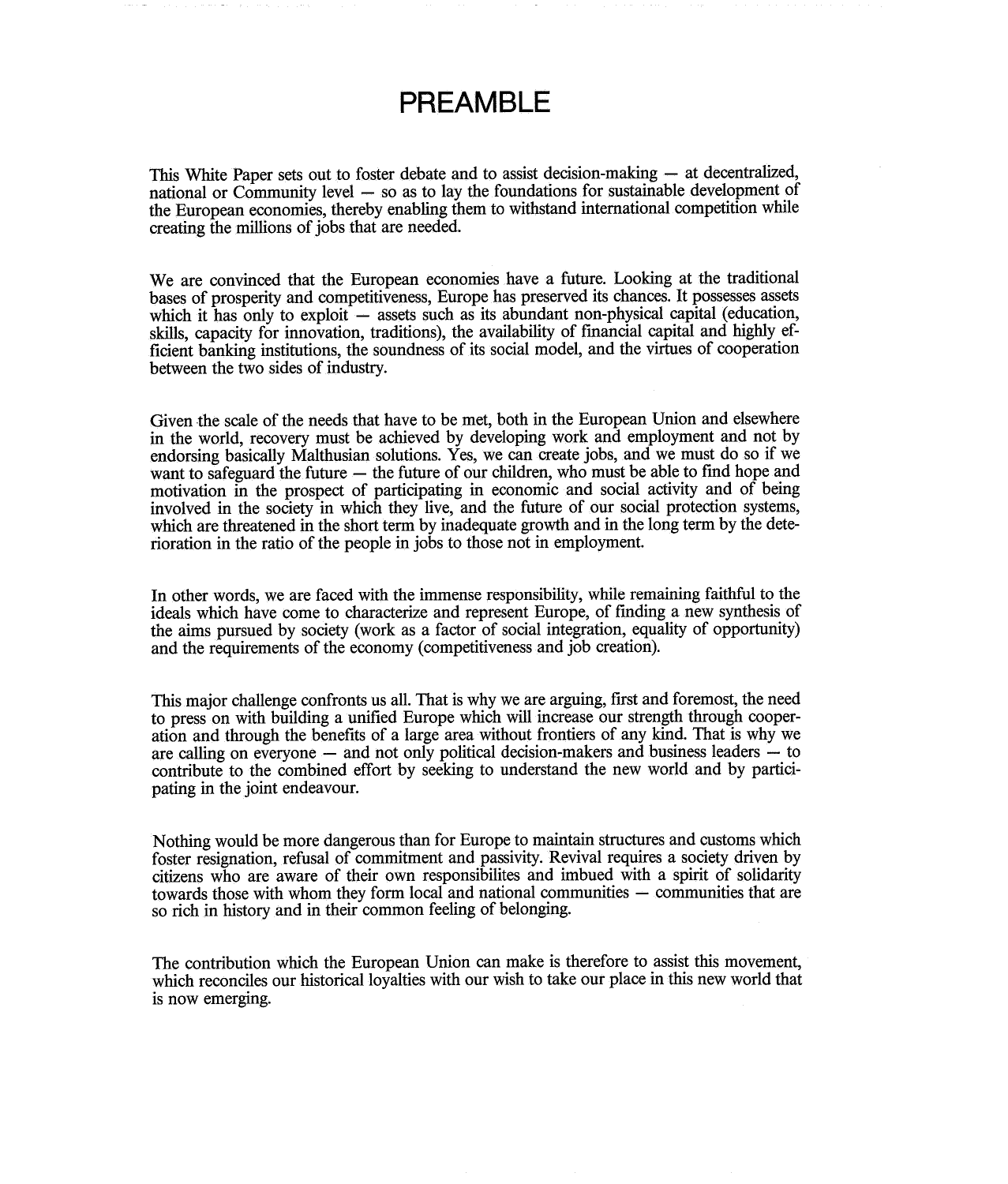## PREAMBLE

This White Paper sets out to foster debate and to assist decision-making  $-$  at decentralized, national or Community level  $-$  so as to lay the foundations for sustainable development of the European economies, thereby enabling them to withstand international competition while creating the millions of jobs that are needed.

We are convinced that the European economies have a future. Looking at the traditional bases of prosperity and competitiveness, Europe has preserved its chances. It possesses assets which it has only to exploit  $-$  assets such as its abundant non-physical capital (education, skills, capacity for innovation, traditions), the availability of fmancial capital and highly efficient banking institutions, the soundness of its social model, and the virtues of cooperation between the two sides of industry.

Given the scale of the needs that have to be met, both in the European Union and elsewhere in the world, recovery must be achieved by developing work and employment and not by endorsing basically Malthusian solutions. Yes, we can create jobs, and we must do so if we want to safeguard the future  $-$  the future of our children, who must be able to find hope and motivation in the prospect of participating in economic and social activity and of being involved in the society in which they live, and the future of our social protection systems, which are threatened in the short term by inadequate growth and in the long term by the deterioration in the ratio of the people in jobs to those not in employment.

In other words, we are faced with the immense responsibility, while remaining faithful to the ideals which have come to characterize and represent Europe, of finding a new synthesis of the aims pursued by society (work as a factor of social integration, equality of opportunity) and the requirements of the economy (competitiveness and job creation).

This major challenge confronts us all. That is why we are arguing, first and foremost, the need to press on with building a unified Europe which will increase our strength through cooperation and through the benefits of a large area without frontiers of any kind. That is why we are calling on everyone  $-$  and not only political decision-makers and business leaders  $-$  to contribute to the combined effort by seeking to understand the new world and by partici. pating in the joint endeavour.

Nothing would be more dangerous than for Europe to maintain structures and customs which foster resignation, refusal of commitment and passivity. Revival requires a society driven by citizens who are aware of their own responsibilites and imbued with a spirit of solidarity towards those with whom they form local and national communities — communities that are so rich in history and in their common feeling of belonging.

The contribution which the European Union can make is therefore to assist this movement which reconciles our historical loyalties with our wish to take our place in this new world that is now emerging.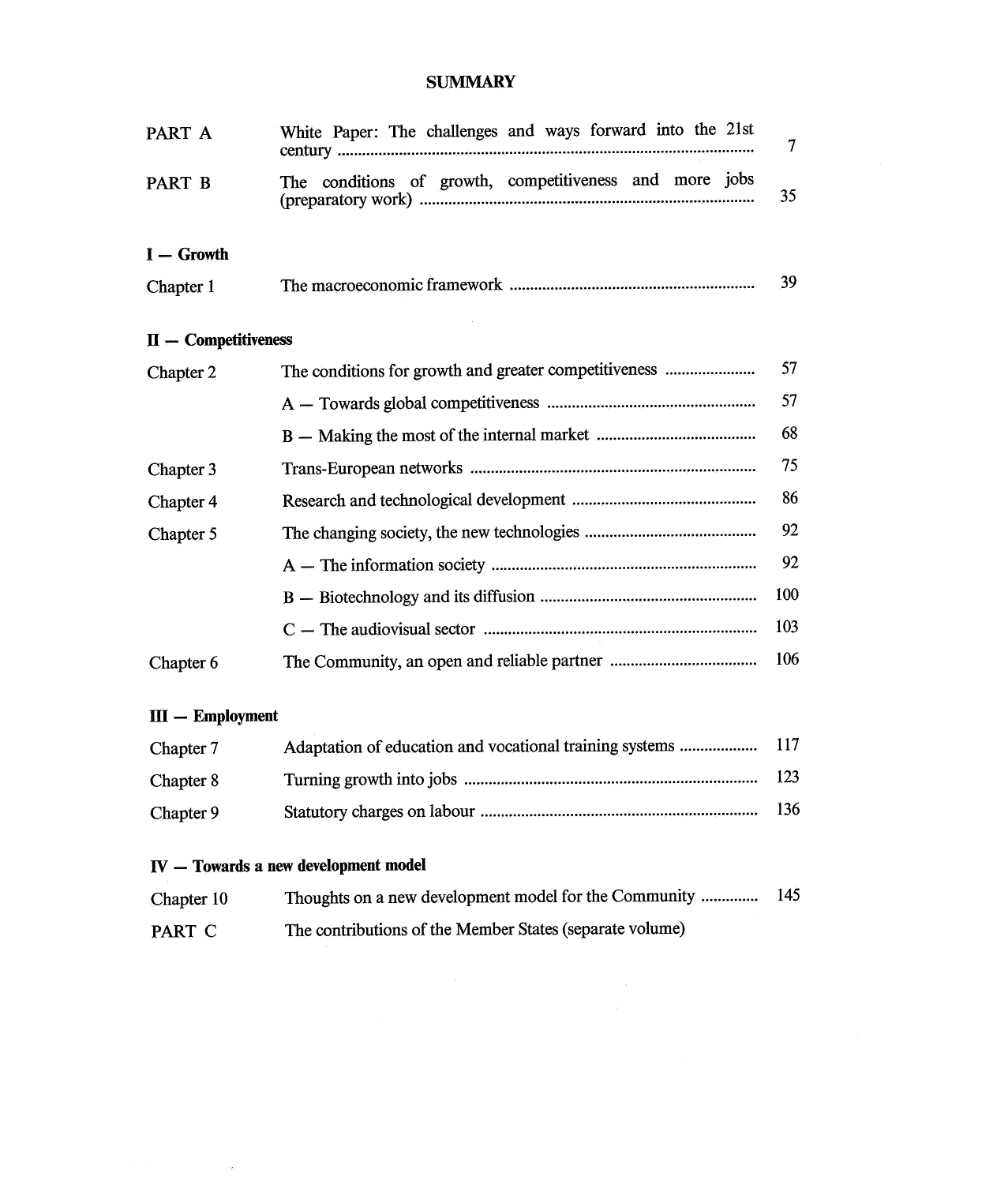### **SUMMARY**

| PART A                               | White Paper: The challenges and ways forward into the 21st | 7   |
|--------------------------------------|------------------------------------------------------------|-----|
| PART B                               | The conditions of growth, competitiveness and more jobs    | 35  |
| $I - Growth$                         |                                                            |     |
| Chapter 1                            |                                                            | 39  |
| $\Pi$ - Competitiveness              |                                                            |     |
| Chapter 2                            | The conditions for growth and greater competitiveness      | 57  |
|                                      |                                                            | 57  |
|                                      |                                                            | 68  |
| Chapter 3                            |                                                            | 75  |
| Chapter 4                            |                                                            | 86  |
| Chapter 5                            |                                                            | 92  |
|                                      |                                                            | 92  |
|                                      |                                                            | 100 |
|                                      |                                                            | 103 |
| Chapter 6                            |                                                            | 106 |
| $III$ - Employment                   |                                                            |     |
| Chapter 7                            | Adaptation of education and vocational training systems    | 117 |
| Chapter 8                            |                                                            | 123 |
| Chapter 9                            |                                                            | 136 |
| IV - Towards a new development model |                                                            |     |
| Chapter 10                           | Thoughts on a new development model for the Community      | 145 |
| PART C                               | The contributions of the Member States (separate volume)   |     |
|                                      |                                                            |     |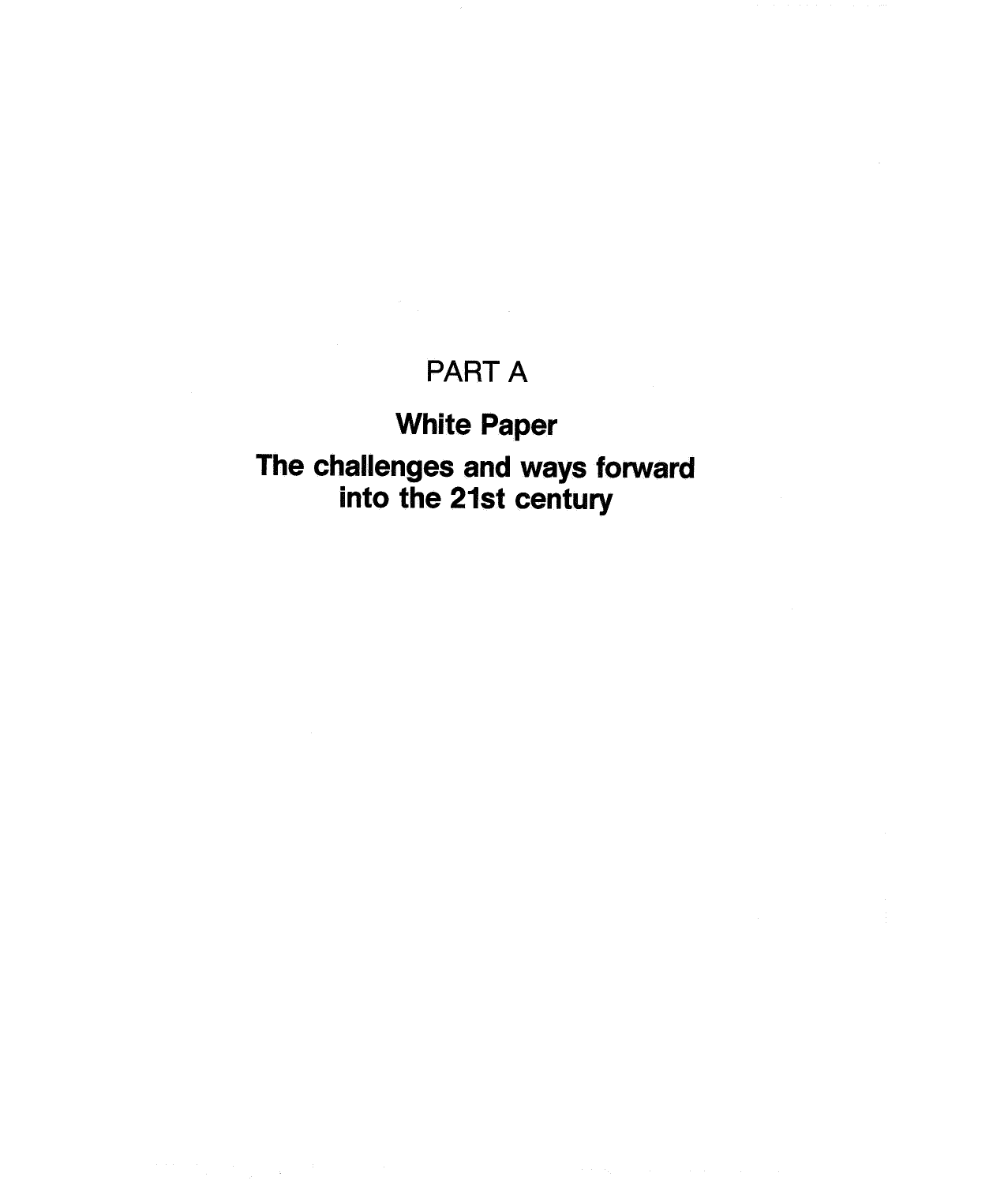# PART A

# White Paper

The challenges and ways forward into the 21st century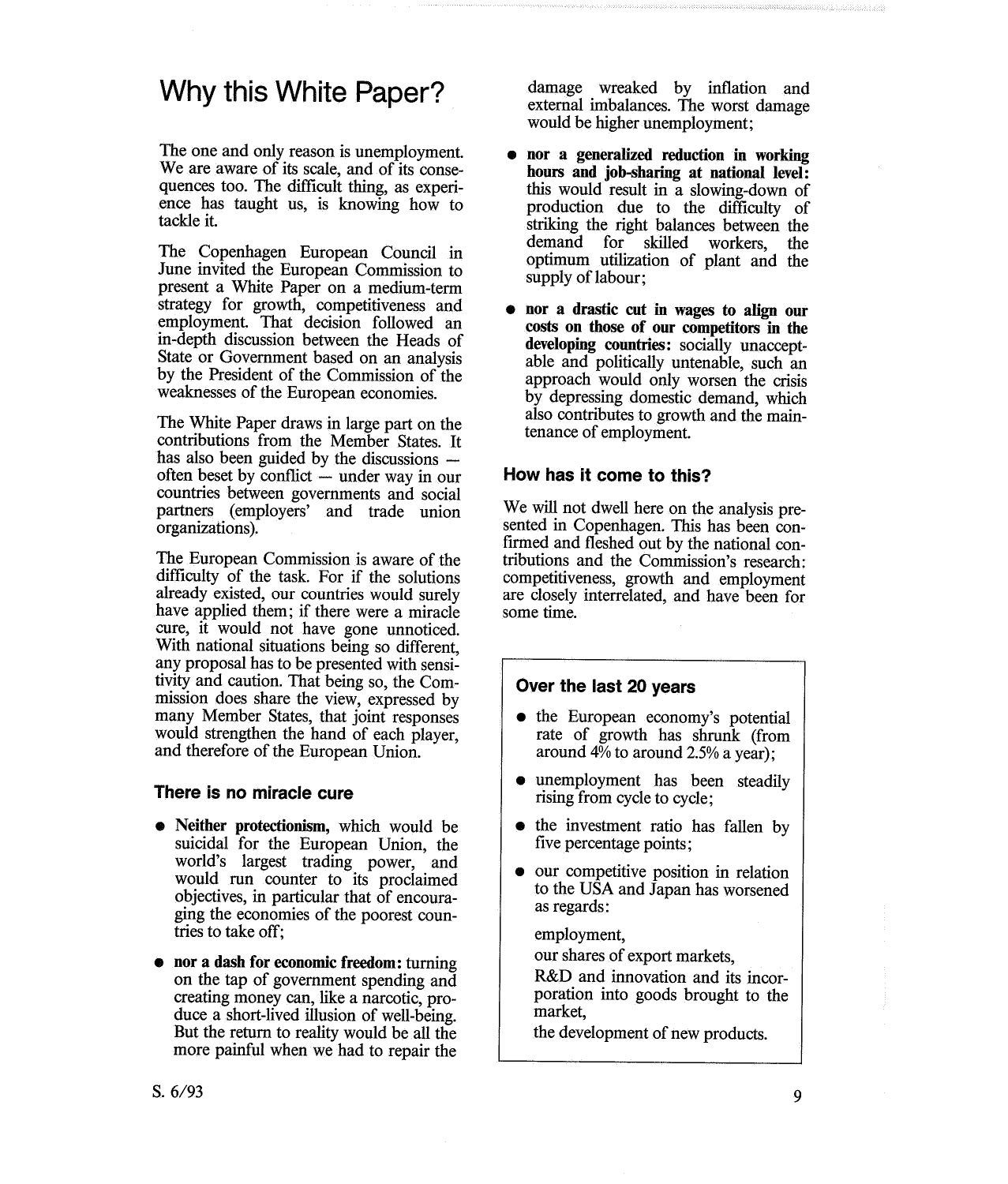## Why this White Paper?

The one and only reason is unemployment. We are aware of its scale, and of its consequences too. The difficult thing, as experience has taught us, is knowing how to tackle it.

The Copenhagen European Council in June invited the European Commission to present a White Paper on a medium-term strategy for growth, competitiveness and employment. That decision followed an in-depth discussion between the Heads of State or Government based on an analysis by the President of the Commission of the weaknesses of the European economies.

The White Paper draws in large part on the contributions from the Member States. It has also been guided by the discussions often beset by conflict  $-$  under way in our countries between governments and social partners (employers' and trade union organizations).

The European Commission is aware of the difficulty of the task. For if the solutions already existed, our countries would surely have applied them; if there were a miracle cure, it would not have gone unnoticed. With national situations being so different, any proposal has to be presented with sensitivity and caution. That being so, the Commission does share the view, expressed by many Member States, that joint responses would strengthen the hand of each player. and therefore of the European Union.

#### There is no miracle cure

- Neither protectionism, which would be suicidal for the European Union, the world's largest trading power, and would run counter to its proclaimed objectives, in particular that of encouraging the economies of the poorest countries to take off;
- . nor a dash for economic freedom: turning on the tap of government spending and creating money can, like a narcotic, pro-But the return to reality would be all the more painful when we had to repair the

damage wreaked by inflation and external imbalances. The worst damage would be higher unemployment;

- . nor a generalized reduction in working hours and job-sharing at national level: this would result in a slowing-down of production due to the difficulty of striking the right balances between the demand for skilled workers, the optimum utilization of plant and the supply of labour;
- . nOr a drastic cut in wages to align our costs on those of our competitors in the developing countries: socially unacceptable and politically untenable, such an approach would only worsen the crisis by depressing domestic demand, which also contributes to growth and the maintenance of employment.

#### How has it come to this?

We will not dwell here on the analysis presented in Copenhagen. This has been confirmed and fleshed out by the national contributions and the Commission's research: competitiveness, growth and employment are closely interrelated, and have been for some time.

#### Over the last 20 years

- the European economy's potential rate of growth has shrunk (from around 4% to around 2.5% a year);
- **•** unemployment has been steadily rising from cycle to cycle;
- . the investment ratio has fallen by five percentage points;
- . our competitive position in relation to the USA and Japan has worsened as regards:

employment

our shares of export markets R&D and innovation and its incorporation into goods brought to the

market the development of new products.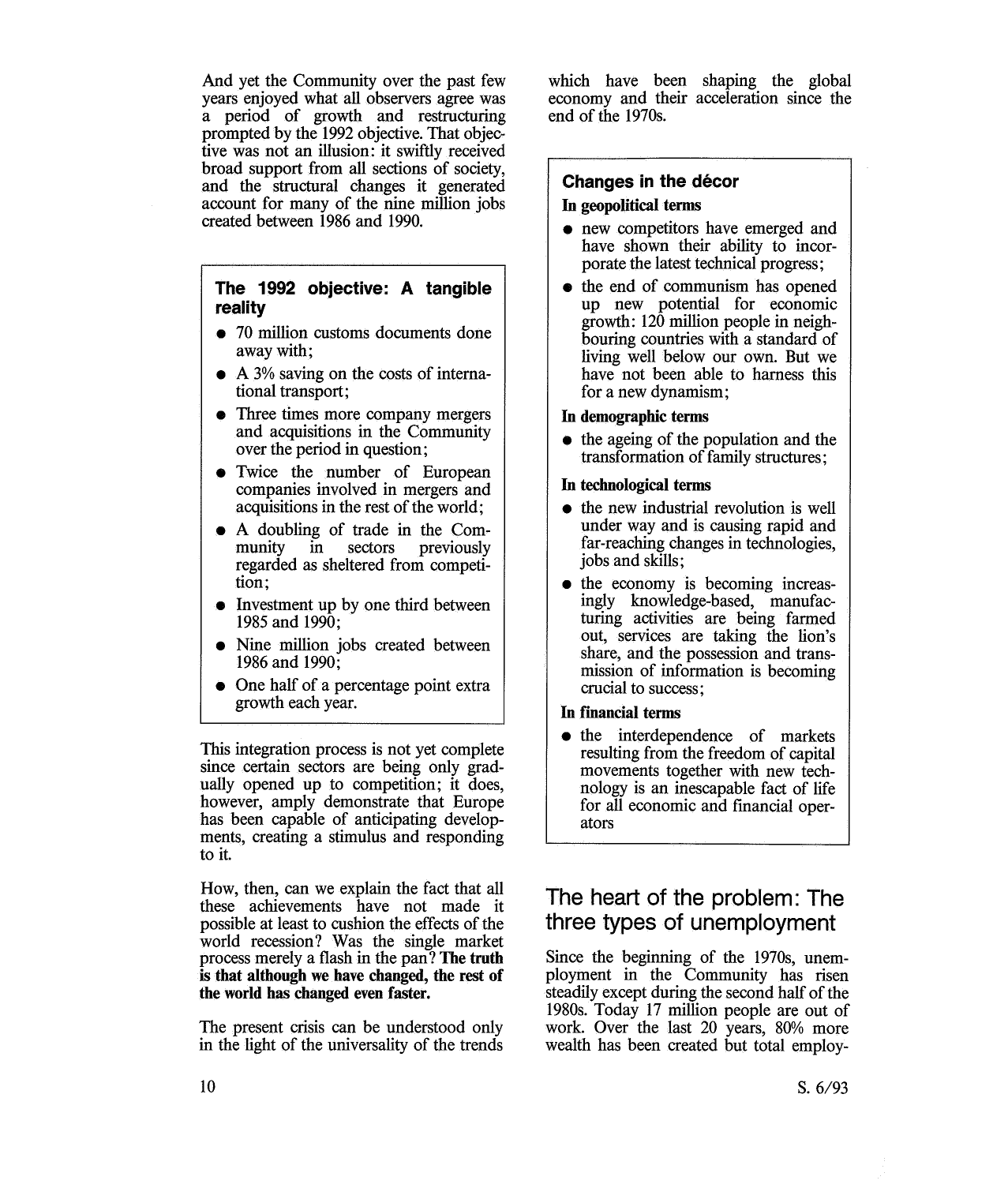And yet the Community over the past few<br>years enjoyed what all observers agree was a period of growth and restructuring prompted by the 1992 objective. That objective was not an illusion: it swiftly received<br>broad support from all sections of society, and the structural changes it generated account for many of the nine million jobs created between 1986 and 1990.

The 1992 objective: A tangible reality

- . 70 million customs documents done away with;
- A 3% saving on the costs of international transport;
- Three times more company mergers and acquisitions in the Community over the period in question;
- . Twice the number of European companies involved in mergers and acquisitions in the rest of the world;
- . A doubling of trade in the Community in sectors previously regarded as sheltered from competition;
- Investment up by one third between 1985 and 1990;
- . Nine million jobs created between 1986 and 1990;
- One half of a percentage point extra growth each year.

This integration process is not yet complete since certain sectors are being only gradually opened up to competition; it does however, amply demonstrate that Europe has been capable of anticipating developments, creating a stimulus and responding to it.

How, then, can we explain the fact that all these achievements have not made it possible at least to cushion the effects of the world recession? Was the single market process merely a flash in the pan? The truth is that although we have changed, the rest of the world has changed even faster.

The present crisis can be understood only in the light of the universality of the trends which have been shaping the global economy and their acceleration since the end of the 1970s.

#### Changes in the decor

#### In geopolitical terms

- . new competitors have emerged and have shown their ability to incor. porate the latest technical progress;
- the end of communism has opened up new potential for economic growth: 120 million people in neighbouring countries with a standard of living well below our own. But we have not been able to harness this for a new dynamism;

#### In demographic terms

• the ageing of the population and the transformation of family structures;

#### In technological terms

- the new industrial revolution is well under way and is causing rapid and far-reaching changes in technologies jobs and skills;
- the economy is becoming increasingly knowledge-based, manufacturing activities are being farmed out, services are taking the lion share, and the possession and transmission of information is becoming crucial to success;

#### In financial terms

• the interdependence of markets resulting from the freedom of capital movements together with new technology is an inescapable fact of life for all economic and financial operators

### The heart of the problem: The three types of unemployment

Since the beginning of the 1970s, unemployment in the Community has risen steadily except during the second half of the 1980s. Today 17 million people are out of work. Over the last 20 years, 80% more wealth has been created but total employ-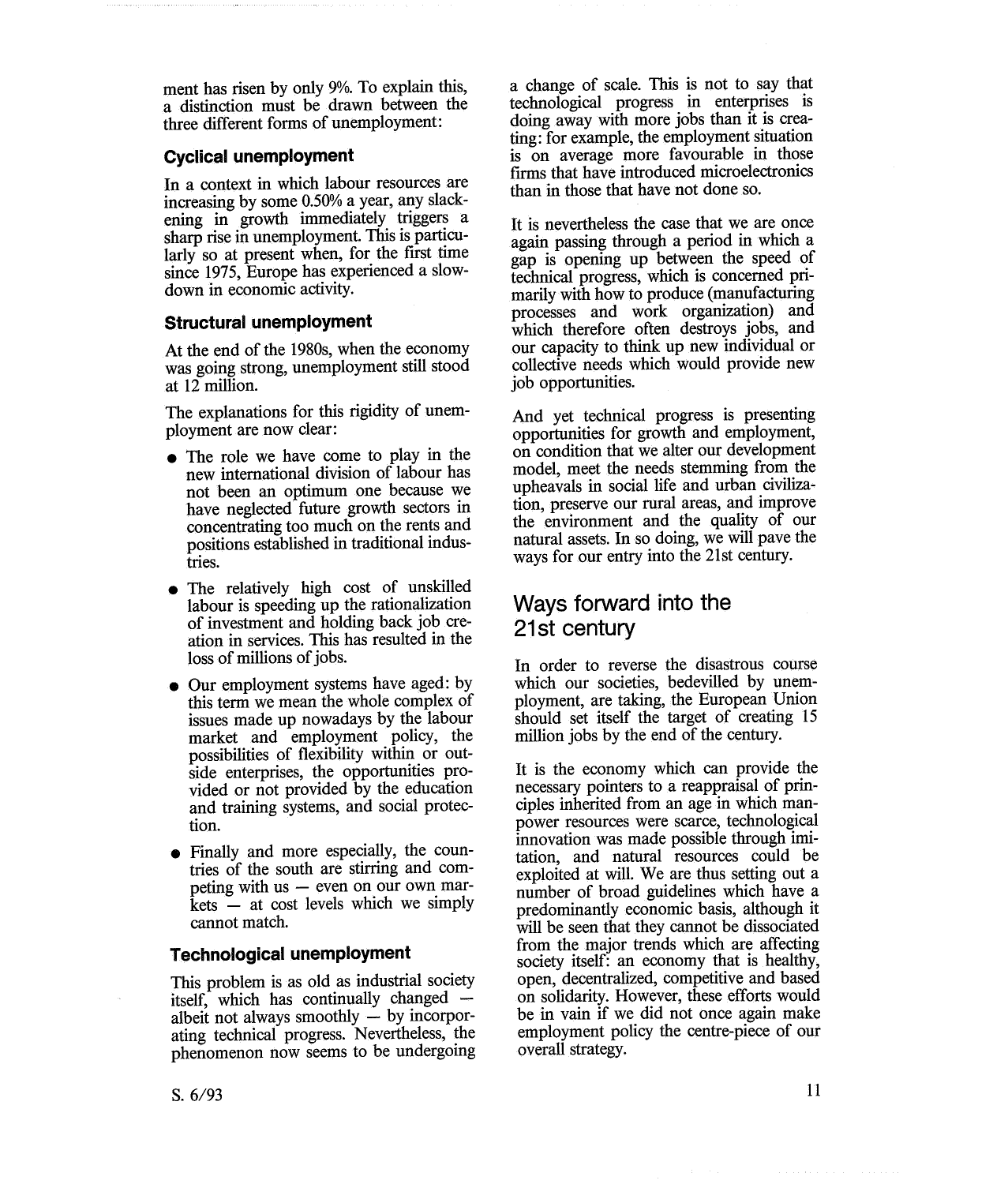ment has risen by only 9%. To explain this a distinction must be drawn between the three different forms of unemployment:

#### Cyclical unemployment

In a context in which labour resources are increasing by some 0.50% a year, any slackening in growth immediately triggers a sharp rise in unemployment. This is particularly so at present when, for the first time since 1975, Europe has experienced a slow. down in economic activity.

#### Structural unemployment

At the end of the 1980s, when the economy was going strong, unemployment still stood at 12 million.

The explanations for this rigidity of unemployment are now clear:

- . The role we have come to play in the new international division of labour has not been an optimum one because we have neglected future growth sectors in concentrating too much on the rents and positions established in traditional indus. tries.
- . The relatively high cost of unskilled labour is speeding up the rationalization of investment and holding back job creation in services. This has resulted in the loss of millions of jobs.
- . Our employment systems have aged: by this term we mean the whole complex of issues made up nowadays by the labour market and employment policy, the possibilities of flexibility within or outside enterprises, the opportunities provided or not provided by the education and training systems, and social protection.
- Finally and more especially, the countries of the south are stirring and competing with us  $-$  even on our own mar $kets$  — at cost levels which we simply cannot match.

#### Technological unemployment

This problem is as old as industrial society itself, which has continually changed  $$ albeit not always smoothly  $-$  by incorporating technical progress. Nevertheless, the phenomenon now seems to be undergoing a change of scale. This is not to say that technological progress in enterprises is doing away with more jobs than it is creating: for example, the employment situation is on average more favourable in those firms that have introduced microelectronics than in those that have not done so.

It is nevertheless the case that we are once again passing through a period in which a gap is opening up between the speed of technical progress, which is concerned primarily with how to produce (manufacturing processes and work organization) and which therefore often destroys jobs, and our capacity to think up new individual or collective needs which would provide new job opportunities.

And yet technical progress is presenting opportunities for growth and employment on condition that we alter our development model, meet the needs stemming from the upheavals in social life and urban civilization, preserve our rural areas, and improve the environment and the quality of our natural assets. In so doing, we will pave the ways for our entry into the 2lst century.

### Ways forward into the 21st century

In order to reverse the disastrous course which our societies, bedevilled by unemployment, are taking, the European Union should set itself the target of creating 15 million jobs by the end of the century.

It is the economy which can provide the necessary pointers to a reappraisal of principles inherited from an age in which manpower resources were scarce, technological innovation was made possible through imitation, and natural resources could be exploited at will. We are thus setting out a number of broad guidelines which have a predominantly economic basis, although it will be seen that they cannot be dissociated from the major trends which are affecting society itself: an economy that is healthy, open, decentralized, competitive and based on solidarity. However, these efforts would be in vain if we did not once again make employment policy the centre-piece of our overall strategy.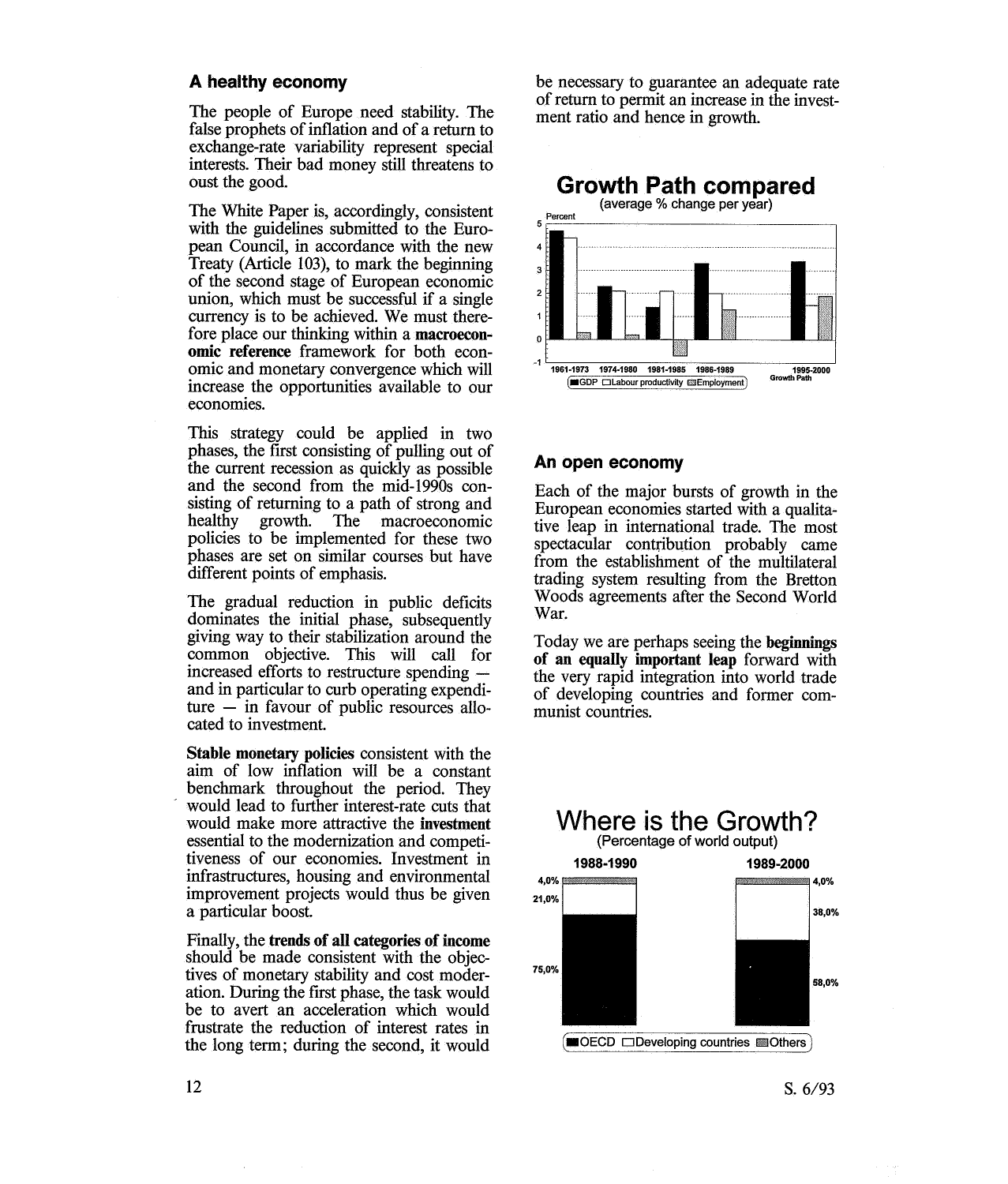#### healthy economy

The people of Europe need stability. The false prophets of inflation and of a return to exchange-rate variability represent special interests. Their bad money still threatens to oust the good.

The White Paper is, accordingly, consistent with the guidelines submitted to the European Council, in accordance with the new Treaty (Article 103), to mark the beginning of the second stage of European economic union, which must be successful if a single currency is to be achieved. We must therefore place our thinking within a macroeconomic reference framework for both economic and monetary convergence which will increase the opportunities available to our economies.

This strategy could be applied in two phases, the first consisting of pulling out of the current recession as quickly as possible and the second from the mid-1990s consisting of returning to a path of strong and healthy growth. The macroeconomic policies to be implemented for these two phases are set on similar courses but have different points of emphasis.

The gradual reduction in public deficits dominates the initial phase, subsequently giving way to their stabilization around the common objective. This will call for increased efforts to restructure spending and in particular to curb operating expendi $ture$  - in favour of public resources allocated to investment.

Stable monetary policies consistent with the aim of low inflation will be a constant benchmark throughout the period. They , would lead to further interest-rate cuts that would make more attractive the investment essential to the modernization and competitiveness of our economies. Investment in infrastructures, housing and environmental improvement projects would thus be given a particular boost.

Finally, the trends of all categories of income should be made consistent with the objectives of monetary stability and cost moderation. During the first phase, the task would<br>be to avert an acceleration which would frustrate the reduction of interest rates in the long term; during the second, it would

be necessary to guarantee an adequate rate of return to permit an increase in the investment ratio and hence in growth.



#### An open economy

Each of the major bursts of growth in the European economies started with a qualitative leap in international trade. The most spectacular contribution probably came from the establishment of the multilateral trading system resulting from the Bretton Woods agreements after the Second World War.

Today we are perhaps seeing the beginnings of an equally important leap forward with the very rapid integration into world trade of developing countries and former communist countries.

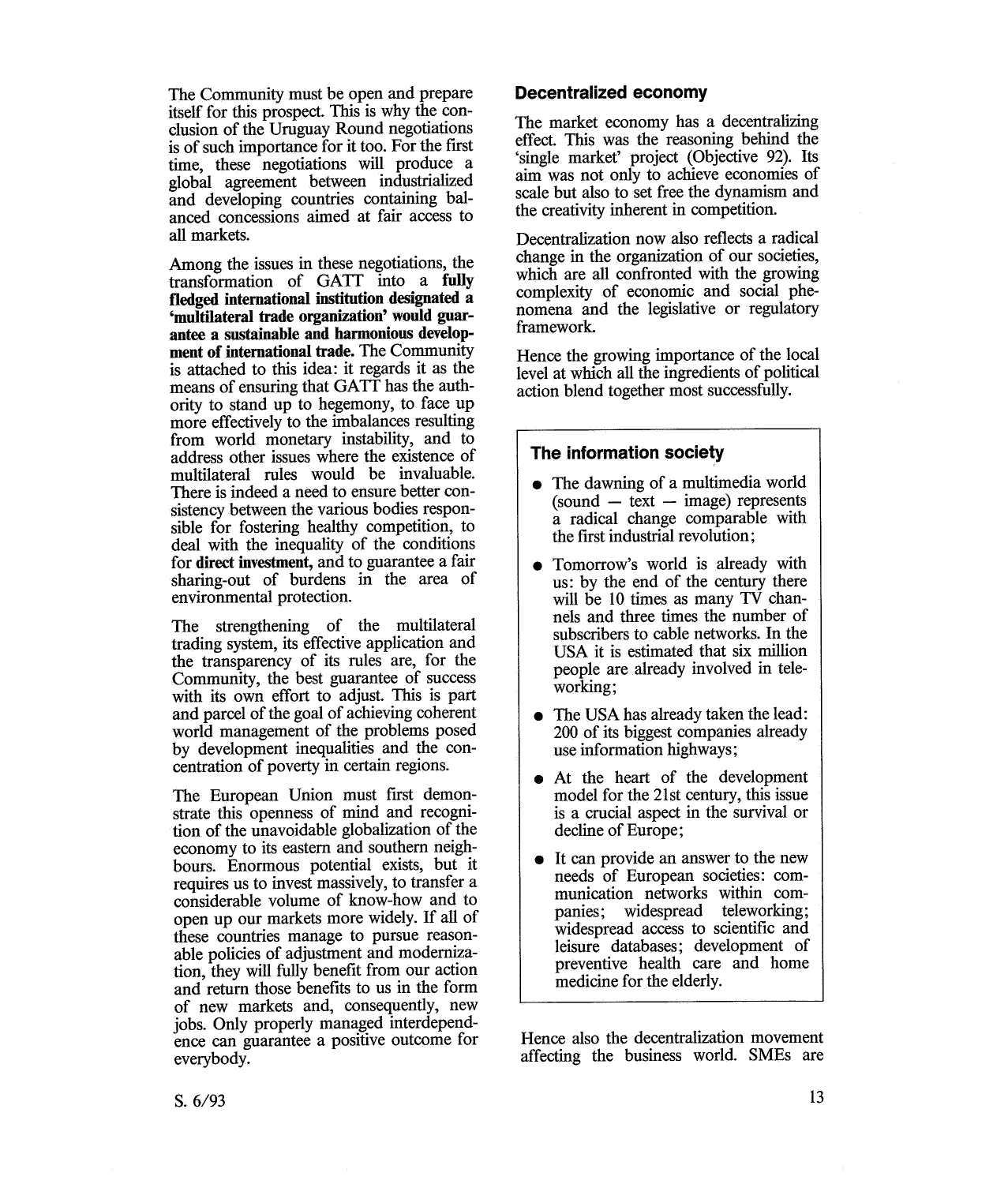The Community must be open and prepare itself for this prospect. This is why the con. elusion of the Uruguay Round negotiations is of such importance for it too. For the first time, these negotiations will produce a global agreement between industrialized and developing countries containing balanced concessions aimed at fair access to all markets.

Among the issues in these negotiations, the transformation of GAIT into a fully fledged international institution designated a multilateral trade organization' would guarantee a sustainable and harmonious development of international trade. The Community is attached to this idea: it regards it as the means of ensuring that GATI has the authority to stand up to hegemony, to face up more effectively to the imbalances resulting from world monetary instability, and to address other issues where the existence of multilateral rules would be invaluable. There is indeed a need to ensure better consistency between the various bodies responsible for fostering healthy competition, to deal with the inequality of the conditions for direct investment, and to guarantee a fair sharing-out of burdens in the area of environmental protection.

The strengthening of the multilateral trading system, its effective application and the transparency of its rules are, for the Community, the best guarantee of success with its own effort to adjust. This is part and parcel of the goal of achieving coherent world management of the problems posed by development inequalities and the concentration of poverty in certain regions.

The European Union must first demonstrate this openness of mind and recognition of the unavoidable globalization of the economy to its eastern and southern neighbours. Enormous potential exists, but it requires us to invest massively, to transfer a considerable volume of know-how and to open up our markets more widely. If all of these countries manage to pursue reasonable policies of adjustment and modernization, they will fully benefit from our action and return those benefits to us in the form of new markets and, consequently, new jobs. Only properly managed interdependence can guarantee a positive outcome for everybody.

#### Decentralized economy

The market economy has a decentralizing effect. This was the reasoning behind the single market' project (Objective 92). Its aim was not only to achieve economies of scale but also to set free the dynamism and the creativity inherent in competition.

Decentralization now also reflects a radical change in the organization of our societies which are all confronted with the growing complexity of economic and social phenomena and the legislative or regulatory framework.

Hence the growing importance of the local level at which all the ingredients of political action blend together most successfully.

#### The information society

- The dawning of a multimedia world  $(sound - text - image)$  represents a radical change comparable with the first industrial revolution;
- Tomorrow's world is already with us: by the end of the century there will be 10 times as many TV channels and three times the number of subscribers to cable networks. In the USA it is estimated that six million people are already involved in teleworking;
- . The USA has already taken the lead: 200 of its biggest companies already use information highways;
- . At the heart of the development model for the 2lst century, this issue is a crucial aspect in the survival or deeline of Europe;
- It can provide an answer to the new needs of European societies: communication networks within companies; widespread teleworking; widespread access to scientific and leisure databases; development of preventive health care and home medicine for the elderly.

Hence also the decentralization movement affecting the business world. SMEs are

S. 6/93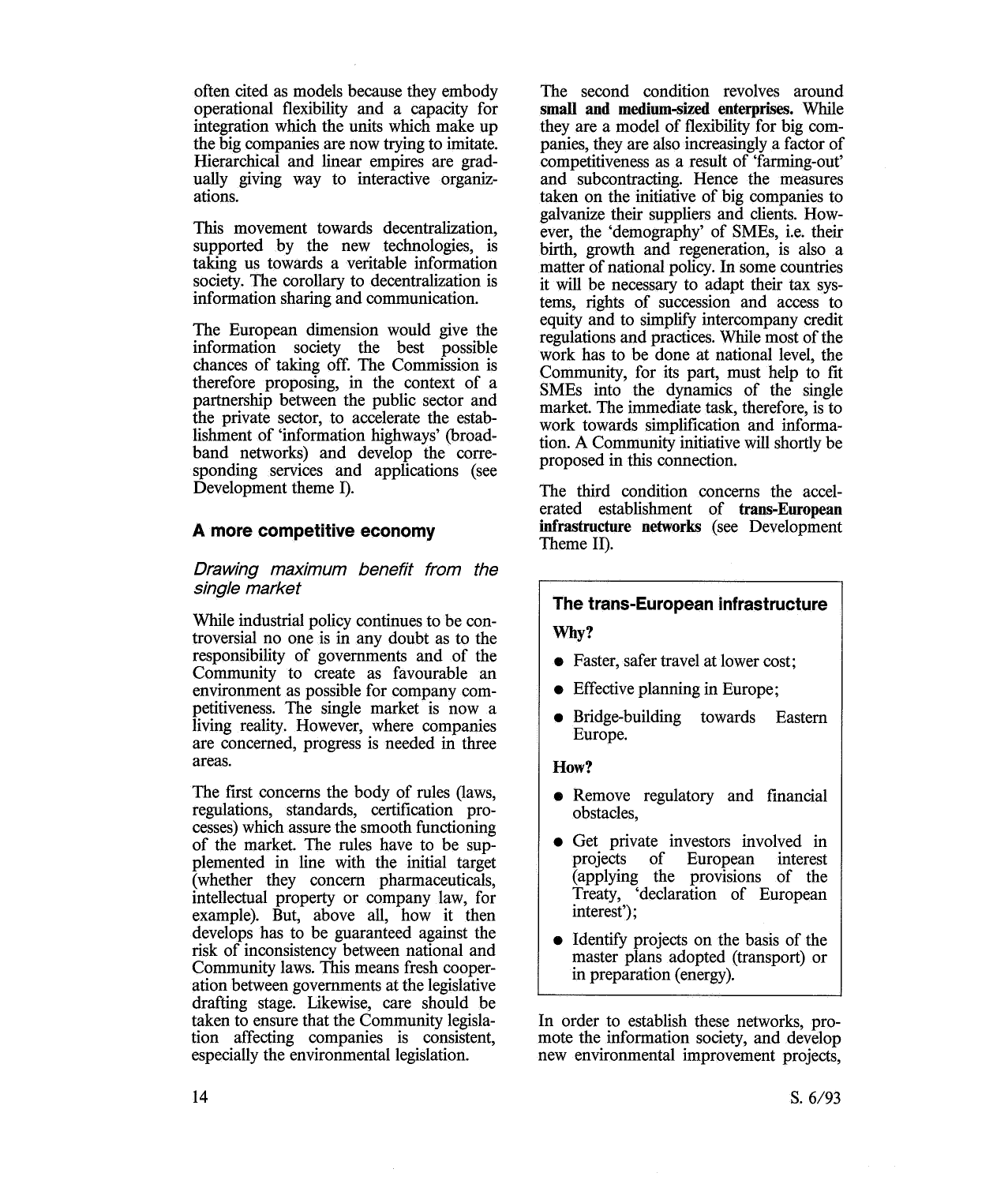often cited as models because they embody operational flexibility and a capacity for integration which the units which make up the big companies are now trying to imitate. Hierarchical and linear empires are gradually giving way to interactive organizations.

This movement towards decentralization supported by the new technologies, is taking us towards a veritable information society. The corollary to decentralization is information sharing and communication.

The European dimension would give the information society the best possible chances of taking off. The Commission is therefore proposing, in the context of a partnership between the public sector and the private sector, to accelerate the establishment of 'information highways' (broad- band networks) and develop the corresponding services and applications (see Development theme I).

#### A more competitive economy

#### Drawing maximum benefit from the single market

While industrial policy continues to be controversial no one is in any doubt as to the responsibility of governments and of the Community to create as favourable an environment as possible for company competitiveness. The single market is now a living reality. However, where companies are concerned, progress is needed in three areas.

The first concerns the body of rules (laws regulations, standards, certification processes) which assure the smooth functioning of the market. The rules have to be supplemented in line with the initial target (whether they concern pharmaceuticals intellectual property or company law, for example). But, above all, how it then develops has to be guaranteed against the risk of inconsistency between national and Community laws. This means fresh cooperation between governments at the legislative drafting stage. Likewise, care should be taken to ensure that the Community legislation affecting companies is consistent, especially the environmental legislation.

The second condition revolves around small and medium-sized enterprises. While they are a model of flexibility for big companies, they are also increasingly a factor of competitiveness as a result of 'farming-out' and subcontracting. Hence the measures taken on the initiative of big companies to galvanize their suppliers and clients. However, the 'demography' of SMEs, i.e. their birth, growth and regeneration, is also a matter of national policy. In some countries it will be necessary to adapt their tax systems, rights of succession and access to equity and to simplify intercompany credit regulations and practices. While most of the work has to be done at national level, the Community, for its part, must help to fit SMEs into the dynamics of the single market. The immediate task, therefore, is to work towards simplification and information. A Community initiative will shortly be proposed in this connection.

The third condition concerns the accelerated establishment of trans-European infrastructure networks (see Development Theme II).

# The trans-European infrastructure

#### Why?

- Faster, safer travel at lower cost:
- Effective planning in Europe:
- . Bridge-building towards Eastern Europe.

#### How?

- Remove regulatory and financial obstacles,
- . Get private investors involved in projects of European interest (applying the provisions of the Treaty, 'declaration of European interest');
- Identify projects on the basis of the master plans adopted (transport) or in preparation (energy).

In order to establish these networks, promote the information society, and develop new environmental improvement projects